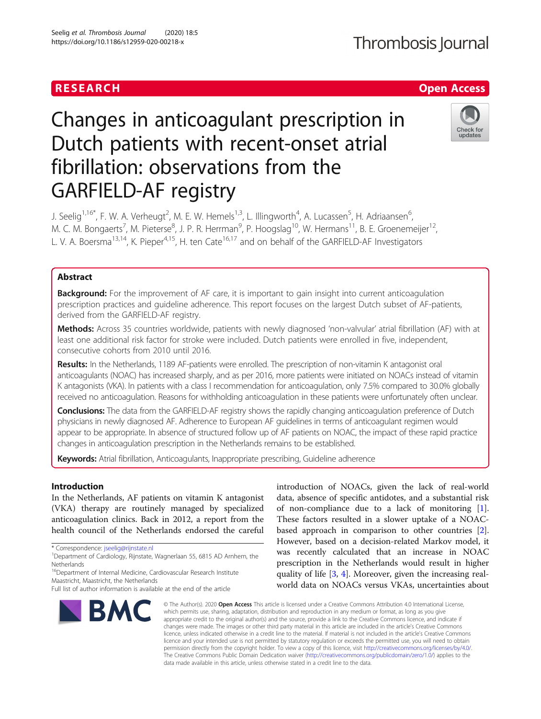## RESEARCH **RESEARCH CHANGE ACCESS**

# Changes in anticoagulant prescription in Dutch patients with recent-onset atrial fibrillation: observations from the GARFIELD-AF registry

J. Seelig<sup>1,16\*</sup>, F. W. A. Verheugt<sup>2</sup>, M. E. W. Hemels<sup>1,3</sup>, L. Illingworth<sup>4</sup>, A. Lucassen<sup>5</sup>, H. Adriaansen<sup>6</sup> י<br>, M. C. M. Bongaerts<sup>7</sup>, M. Pieterse<sup>8</sup>, J. P. R. Herrman<sup>9</sup>, P. Hoogslag<sup>10</sup>, W. Hermans<sup>11</sup>, B. E. Groenemeijer<sup>12</sup>, L. V. A. Boersma<sup>13,14</sup>, K. Pieper<sup>4,15</sup>, H. ten Cate<sup>16,17</sup> and on behalf of the GARFIELD-AF Investigators

## Abstract

**Background:** For the improvement of AF care, it is important to gain insight into current anticoagulation prescription practices and guideline adherence. This report focuses on the largest Dutch subset of AF-patients, derived from the GARFIELD-AF registry.

Methods: Across 35 countries worldwide, patients with newly diagnosed 'non-valvular' atrial fibrillation (AF) with at least one additional risk factor for stroke were included. Dutch patients were enrolled in five, independent, consecutive cohorts from 2010 until 2016.

Results: In the Netherlands, 1189 AF-patients were enrolled. The prescription of non-vitamin K antagonist oral anticoagulants (NOAC) has increased sharply, and as per 2016, more patients were initiated on NOACs instead of vitamin K antagonists (VKA). In patients with a class I recommendation for anticoagulation, only 7.5% compared to 30.0% globally received no anticoagulation. Reasons for withholding anticoagulation in these patients were unfortunately often unclear.

Conclusions: The data from the GARFIELD-AF registry shows the rapidly changing anticoagulation preference of Dutch physicians in newly diagnosed AF. Adherence to European AF guidelines in terms of anticoagulant regimen would appear to be appropriate. In absence of structured follow up of AF patients on NOAC, the impact of these rapid practice changes in anticoagulation prescription in the Netherlands remains to be established.

Keywords: Atrial fibrillation, Anticoagulants, Inappropriate prescribing, Guideline adherence

## Introduction

In the Netherlands, AF patients on vitamin K antagonist (VKA) therapy are routinely managed by specialized anticoagulation clinics. Back in 2012, a report from the health council of the Netherlands endorsed the careful

\* Correspondence: [jseelig@rijnstate.nl](mailto:jseelig@rijnstate.nl) <sup>1</sup>

<sup>16</sup>Department of Internal Medicine, Cardiovascular Research Institute Maastricht, Maastricht, the Netherlands

**BMC** 

## introduction of NOACs, given the lack of real-world data, absence of specific antidotes, and a substantial risk of non-compliance due to a lack of monitoring [\[1](#page-6-0)]. These factors resulted in a slower uptake of a NOACbased approach in comparison to other countries [\[2](#page-6-0)]. However, based on a decision-related Markov model, it was recently calculated that an increase in NOAC prescription in the Netherlands would result in higher quality of life [\[3](#page-6-0), [4\]](#page-6-0). Moreover, given the increasing realworld data on NOACs versus VKAs, uncertainties about

© The Author(s), 2020 **Open Access** This article is licensed under a Creative Commons Attribution 4.0 International License, which permits use, sharing, adaptation, distribution and reproduction in any medium or format, as long as you give appropriate credit to the original author(s) and the source, provide a link to the Creative Commons licence, and indicate if changes were made. The images or other third party material in this article are included in the article's Creative Commons licence, unless indicated otherwise in a credit line to the material. If material is not included in the article's Creative Commons licence and your intended use is not permitted by statutory regulation or exceeds the permitted use, you will need to obtain permission directly from the copyright holder. To view a copy of this licence, visit [http://creativecommons.org/licenses/by/4.0/.](http://creativecommons.org/licenses/by/4.0/) The Creative Commons Public Domain Dedication waiver [\(http://creativecommons.org/publicdomain/zero/1.0/](http://creativecommons.org/publicdomain/zero/1.0/)) applies to the data made available in this article, unless otherwise stated in a credit line to the data.

Seelig et al. Thrombosis Journal (2020) 18:5 https://doi.org/10.1186/s12959-020-00218-x







<sup>&</sup>lt;sup>1</sup>Department of Cardiology, Rijnstate, Wagnerlaan 55, 6815 AD Arnhem, the Netherlands

Full list of author information is available at the end of the article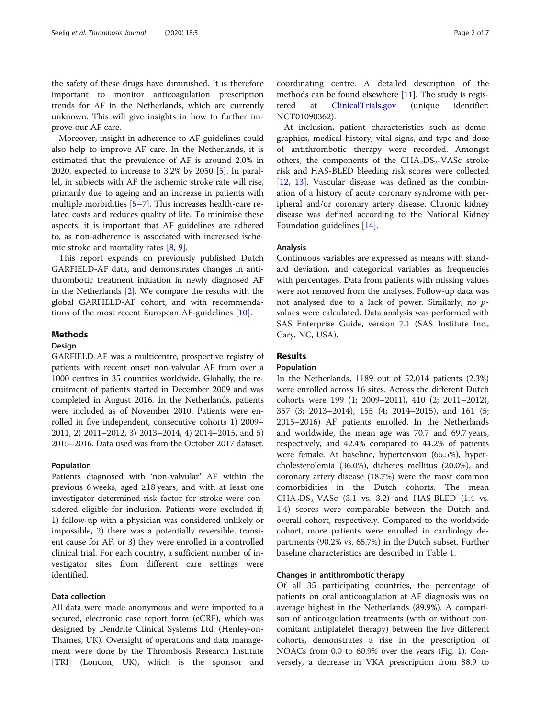the safety of these drugs have diminished. It is therefore important to monitor anticoagulation prescription trends for AF in the Netherlands, which are currently unknown. This will give insights in how to further improve our AF care.

Moreover, insight in adherence to AF-guidelines could also help to improve AF care. In the Netherlands, it is estimated that the prevalence of AF is around 2.0% in 2020, expected to increase to 3.2% by 2050 [\[5](#page-6-0)]. In parallel, in subjects with AF the ischemic stroke rate will rise, primarily due to ageing and an increase in patients with multiple morbidities [[5](#page-6-0)–[7\]](#page-6-0). This increases health-care related costs and reduces quality of life. To minimise these aspects, it is important that AF guidelines are adhered to, as non-adherence is associated with increased ischemic stroke and mortality rates [\[8](#page-6-0), [9](#page-6-0)].

This report expands on previously published Dutch GARFIELD-AF data, and demonstrates changes in antithrombotic treatment initiation in newly diagnosed AF in the Netherlands [\[2](#page-6-0)]. We compare the results with the global GARFIELD-AF cohort, and with recommendations of the most recent European AF-guidelines [[10](#page-6-0)].

## Methods

## Design

GARFIELD-AF was a multicentre, prospective registry of patients with recent onset non-valvular AF from over a 1000 centres in 35 countries worldwide. Globally, the recruitment of patients started in December 2009 and was completed in August 2016. In the Netherlands, patients were included as of November 2010. Patients were enrolled in five independent, consecutive cohorts 1) 2009– 2011, 2) 2011–2012, 3) 2013–2014, 4) 2014–2015, and 5) 2015–2016. Data used was from the October 2017 dataset.

## Population

Patients diagnosed with 'non-valvular' AF within the previous 6 weeks, aged ≥18 years, and with at least one investigator-determined risk factor for stroke were considered eligible for inclusion. Patients were excluded if; 1) follow-up with a physician was considered unlikely or impossible, 2) there was a potentially reversible, transient cause for AF, or 3) they were enrolled in a controlled clinical trial. For each country, a sufficient number of investigator sites from different care settings were identified.

## Data collection

All data were made anonymous and were imported to a secured, electronic case report form (eCRF), which was designed by Dendrite Clinical Systems Ltd. (Henley-on-Thames, UK). Oversight of operations and data management were done by the Thrombosis Research Institute [TRI] (London, UK), which is the sponsor and

coordinating centre. A detailed description of the methods can be found elsewhere [[11\]](#page-6-0). The study is registered at [ClinicalTrials.gov](http://clinicaltrials.gov) (unique identifier: NCT01090362).

At inclusion, patient characteristics such as demographics, medical history, vital signs, and type and dose of antithrombotic therapy were recorded. Amongst others, the components of the  $CHA<sub>2</sub>DS<sub>2</sub>-VASc$  stroke risk and HAS-BLED bleeding risk scores were collected [[12,](#page-6-0) [13\]](#page-6-0). Vascular disease was defined as the combination of a history of acute coronary syndrome with peripheral and/or coronary artery disease. Chronic kidney disease was defined according to the National Kidney Foundation guidelines [\[14](#page-6-0)].

#### Analysis

Continuous variables are expressed as means with standard deviation, and categorical variables as frequencies with percentages. Data from patients with missing values were not removed from the analyses. Follow-up data was not analysed due to a lack of power. Similarly, no pvalues were calculated. Data analysis was performed with SAS Enterprise Guide, version 7.1 (SAS Institute Inc., Cary, NC, USA).

## Results

### Population

In the Netherlands, 1189 out of 52,014 patients (2.3%) were enrolled across 16 sites. Across the different Dutch cohorts were 199 (1; 2009–2011), 410 (2; 2011–2012), 357 (3; 2013–2014), 155 (4; 2014–2015), and 161 (5; 2015–2016) AF patients enrolled. In the Netherlands and worldwide, the mean age was 70.7 and 69.7 years, respectively, and 42.4% compared to 44.2% of patients were female. At baseline, hypertension (65.5%), hypercholesterolemia (36.0%), diabetes mellitus (20.0%), and coronary artery disease (18.7%) were the most common comorbidities in the Dutch cohorts. The mean  $CHA<sub>2</sub>DS<sub>2</sub>-VASc$  (3.1 vs. 3.2) and HAS-BLED (1.4 vs. 1.4) scores were comparable between the Dutch and overall cohort, respectively. Compared to the worldwide cohort, more patients were enrolled in cardiology departments (90.2% vs. 65.7%) in the Dutch subset. Further baseline characteristics are described in Table [1](#page-2-0).

## Changes in antithrombotic therapy

Of all 35 participating countries, the percentage of patients on oral anticoagulation at AF diagnosis was on average highest in the Netherlands (89.9%). A comparison of anticoagulation treatments (with or without concomitant antiplatelet therapy) between the five different cohorts, demonstrates a rise in the prescription of NOACs from 0.0 to 60.9% over the years (Fig. [1\)](#page-3-0). Conversely, a decrease in VKA prescription from 88.9 to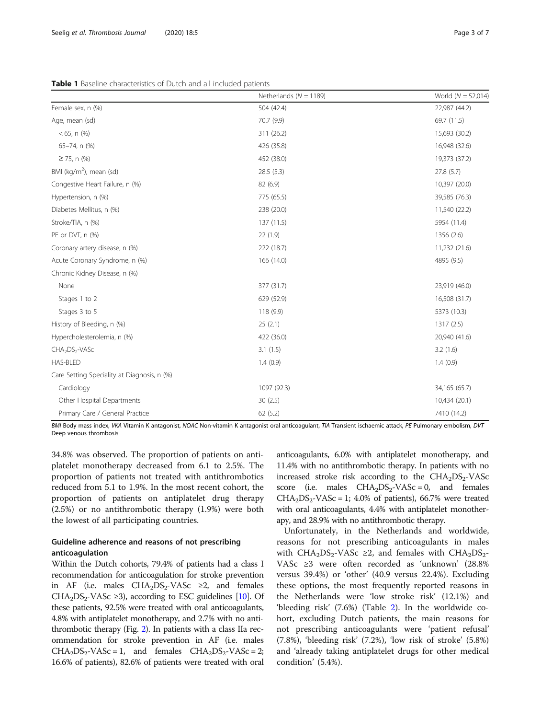<span id="page-2-0"></span>

| <b>Table 1</b> Baseline characteristics of Dutch and all included patients |
|----------------------------------------------------------------------------|
|----------------------------------------------------------------------------|

|                                             | Netherlands ( $N = 1189$ ) | World ( $N = 52,014$ ) |
|---------------------------------------------|----------------------------|------------------------|
| Female sex, n (%)                           | 504 (42.4)                 | 22,987 (44.2)          |
| Age, mean (sd)                              | 70.7 (9.9)                 | 69.7 (11.5)            |
| $< 65$ , n $%$                              | 311 (26.2)                 | 15,693 (30.2)          |
| 65-74, n (%)                                | 426 (35.8)                 | 16,948 (32.6)          |
| $\geq$ 75, n (%)                            | 452 (38.0)                 | 19,373 (37.2)          |
| BMI ( $kg/m2$ ), mean (sd)                  | 28.5(5.3)                  | 27.8(5.7)              |
| Congestive Heart Failure, n (%)             | 82 (6.9)                   | 10,397 (20.0)          |
| Hypertension, n (%)                         | 775 (65.5)                 | 39,585 (76.3)          |
| Diabetes Mellitus, n (%)                    | 238 (20.0)                 | 11,540 (22.2)          |
| Stroke/TIA, n (%)                           | 137 (11.5)                 | 5954 (11.4)            |
| PE or DVT, n (%)                            | 22(1.9)                    | 1356 (2.6)             |
| Coronary artery disease, n (%)              | 222 (18.7)                 | 11,232 (21.6)          |
| Acute Coronary Syndrome, n (%)              | 166 (14.0)                 | 4895 (9.5)             |
| Chronic Kidney Disease, n (%)               |                            |                        |
| None                                        | 377 (31.7)                 | 23,919 (46.0)          |
| Stages 1 to 2                               | 629 (52.9)                 | 16,508 (31.7)          |
| Stages 3 to 5                               | 118(9.9)                   | 5373 (10.3)            |
| History of Bleeding, n (%)                  | 25(2.1)                    | 1317(2.5)              |
| Hypercholesterolemia, n (%)                 | 422 (36.0)                 | 20,940 (41.6)          |
| CHA <sub>2</sub> DS <sub>2</sub> -VASc      | 3.1(1.5)                   | 3.2(1.6)               |
| HAS-BLED                                    | 1.4(0.9)                   | 1.4(0.9)               |
| Care Setting Speciality at Diagnosis, n (%) |                            |                        |
| Cardiology                                  | 1097 (92.3)                | 34,165 (65.7)          |
| Other Hospital Departments                  | 30(2.5)                    | 10,434 (20.1)          |
| Primary Care / General Practice             | 62(5.2)                    | 7410 (14.2)            |

BMI Body mass index, VKA Vitamin K antagonist, NOAC Non-vitamin K antagonist oral anticoagulant, TIA Transient ischaemic attack, PE Pulmonary embolism, DVT Deep venous thrombosis

34.8% was observed. The proportion of patients on antiplatelet monotherapy decreased from 6.1 to 2.5%. The proportion of patients not treated with antithrombotics reduced from 5.1 to 1.9%. In the most recent cohort, the proportion of patients on antiplatelet drug therapy (2.5%) or no antithrombotic therapy (1.9%) were both the lowest of all participating countries.

## Guideline adherence and reasons of not prescribing anticoagulation

Within the Dutch cohorts, 79.4% of patients had a class I recommendation for anticoagulation for stroke prevention in AF (i.e. males  $CHA<sub>2</sub>DS<sub>2</sub>-VASc \geq 2$ , and females CHA<sub>2</sub>DS<sub>2</sub>-VASc ≥3), according to ESC guidelines [\[10\]](#page-6-0). Of these patients, 92.5% were treated with oral anticoagulants, 4.8% with antiplatelet monotherapy, and 2.7% with no antithrombotic therapy (Fig. [2](#page-3-0)). In patients with a class IIa recommendation for stroke prevention in AF (i.e. males  $CHA<sub>2</sub>DS<sub>2</sub>-VASc = 1$ , and females  $CHA<sub>2</sub>DS<sub>2</sub>-VASc = 2$ ; 16.6% of patients), 82.6% of patients were treated with oral anticoagulants, 6.0% with antiplatelet monotherapy, and 11.4% with no antithrombotic therapy. In patients with no increased stroke risk according to the  $CHA<sub>2</sub>DS<sub>2</sub>-VASc$ score (i.e. males  $CHA<sub>2</sub>DS<sub>2</sub>-VASc = 0$ , and females  $CHA<sub>2</sub>DS<sub>2</sub>-VASc = 1$ ; 4.0% of patients), 66.7% were treated with oral anticoagulants, 4.4% with antiplatelet monotherapy, and 28.9% with no antithrombotic therapy.

Unfortunately, in the Netherlands and worldwide, reasons for not prescribing anticoagulants in males with CHA<sub>2</sub>DS<sub>2</sub>-VASc  $\geq$ 2, and females with CHA<sub>2</sub>DS<sub>2</sub>-VASc ≥3 were often recorded as 'unknown' (28.8% versus 39.4%) or 'other' (40.9 versus 22.4%). Excluding these options, the most frequently reported reasons in the Netherlands were 'low stroke risk' (12.1%) and 'bleeding risk' (7.6%) (Table [2](#page-4-0)). In the worldwide cohort, excluding Dutch patients, the main reasons for not prescribing anticoagulants were 'patient refusal' (7.8%), 'bleeding risk' (7.2%), 'low risk of stroke' (5.8%) and 'already taking antiplatelet drugs for other medical condition' (5.4%).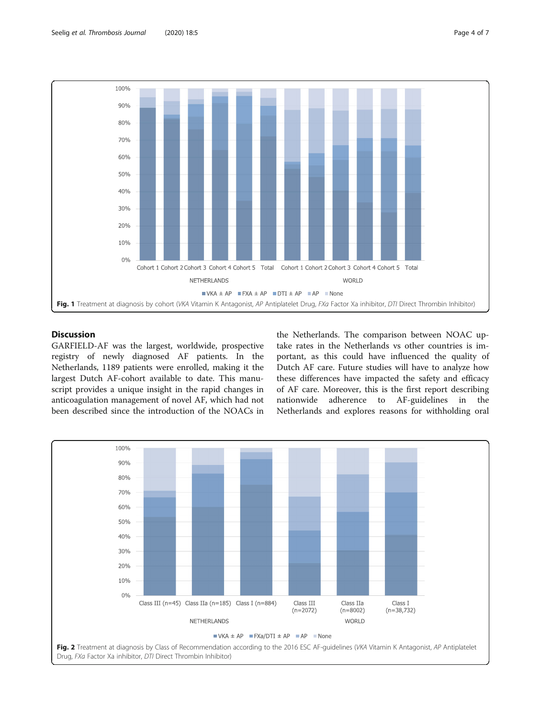<span id="page-3-0"></span>

## **Discussion**

GARFIELD-AF was the largest, worldwide, prospective registry of newly diagnosed AF patients. In the Netherlands, 1189 patients were enrolled, making it the largest Dutch AF-cohort available to date. This manuscript provides a unique insight in the rapid changes in anticoagulation management of novel AF, which had not been described since the introduction of the NOACs in

the Netherlands. The comparison between NOAC uptake rates in the Netherlands vs other countries is important, as this could have influenced the quality of Dutch AF care. Future studies will have to analyze how these differences have impacted the safety and efficacy of AF care. Moreover, this is the first report describing nationwide adherence to AF-guidelines in the Netherlands and explores reasons for withholding oral

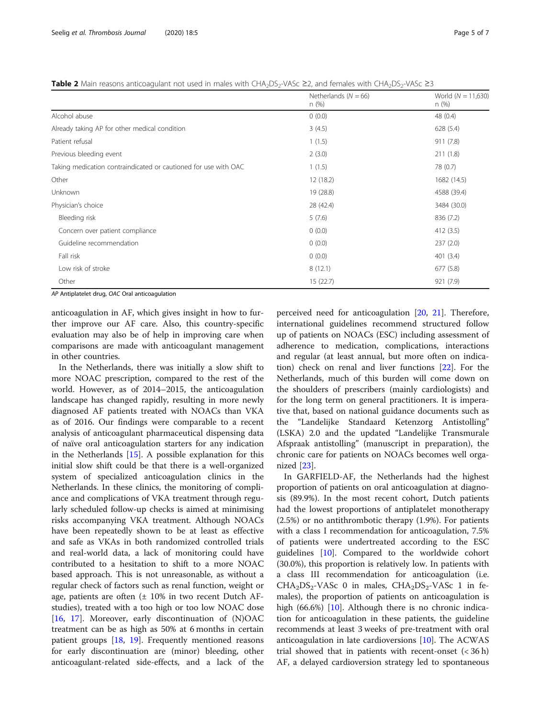<span id="page-4-0"></span>**Table 2** Main reasons anticoagulant not used in males with CHA<sub>2</sub>DS<sub>2</sub>-VASc ≥2, and females with CHA<sub>2</sub>DS<sub>2</sub>-VASc ≥3

|                                                                 | Netherlands ( $N = 66$ )<br>n (%) | World ( $N = 11,630$ )<br>n (%) |
|-----------------------------------------------------------------|-----------------------------------|---------------------------------|
| Alcohol abuse                                                   | 0(0.0)                            | 48 (0.4)                        |
| Already taking AP for other medical condition                   | 3(4.5)                            | 628 (5.4)                       |
| Patient refusal                                                 | 1(1.5)                            | 911 (7.8)                       |
| Previous bleeding event                                         | 2(3.0)                            | 211(1.8)                        |
| Taking medication contraindicated or cautioned for use with OAC | 1(1.5)                            | 78 (0.7)                        |
| Other                                                           | 12 (18.2)                         | 1682 (14.5)                     |
| Unknown                                                         | 19 (28.8)                         | 4588 (39.4)                     |
| Physician's choice                                              | 28 (42.4)                         | 3484 (30.0)                     |
| Bleeding risk                                                   | 5(7.6)                            | 836 (7.2)                       |
| Concern over patient compliance                                 | 0(0.0)                            | 412(3.5)                        |
| Guideline recommendation                                        | 0(0.0)                            | 237(2.0)                        |
| Fall risk                                                       | 0(0.0)                            | 401(3.4)                        |
| Low risk of stroke                                              | 8(12.1)                           | 677 (5.8)                       |
| Other                                                           | 15(22.7)                          | 921 (7.9)                       |

AP Antiplatelet drug, OAC Oral anticoagulation

anticoagulation in AF, which gives insight in how to further improve our AF care. Also, this country-specific evaluation may also be of help in improving care when comparisons are made with anticoagulant management in other countries.

In the Netherlands, there was initially a slow shift to more NOAC prescription, compared to the rest of the world. However, as of 2014–2015, the anticoagulation landscape has changed rapidly, resulting in more newly diagnosed AF patients treated with NOACs than VKA as of 2016. Our findings were comparable to a recent analysis of anticoagulant pharmaceutical dispensing data of naïve oral anticoagulation starters for any indication in the Netherlands  $[15]$  $[15]$ . A possible explanation for this initial slow shift could be that there is a well-organized system of specialized anticoagulation clinics in the Netherlands. In these clinics, the monitoring of compliance and complications of VKA treatment through regularly scheduled follow-up checks is aimed at minimising risks accompanying VKA treatment. Although NOACs have been repeatedly shown to be at least as effective and safe as VKAs in both randomized controlled trials and real-world data, a lack of monitoring could have contributed to a hesitation to shift to a more NOAC based approach. This is not unreasonable, as without a regular check of factors such as renal function, weight or age, patients are often  $(\pm 10\%$  in two recent Dutch AFstudies), treated with a too high or too low NOAC dose [[16,](#page-6-0) [17\]](#page-6-0). Moreover, early discontinuation of (N)OAC treatment can be as high as 50% at 6 months in certain patient groups [[18,](#page-6-0) [19](#page-6-0)]. Frequently mentioned reasons for early discontinuation are (minor) bleeding, other anticoagulant-related side-effects, and a lack of the

perceived need for anticoagulation [\[20](#page-6-0), [21\]](#page-6-0). Therefore, international guidelines recommend structured follow up of patients on NOACs (ESC) including assessment of adherence to medication, complications, interactions and regular (at least annual, but more often on indication) check on renal and liver functions [[22\]](#page-6-0). For the Netherlands, much of this burden will come down on the shoulders of prescribers (mainly cardiologists) and for the long term on general practitioners. It is imperative that, based on national guidance documents such as the "Landelijke Standaard Ketenzorg Antistolling" (LSKA) 2.0 and the updated "Landelijke Transmurale Afspraak antistolling" (manuscript in preparation), the chronic care for patients on NOACs becomes well organized [[23\]](#page-6-0).

In GARFIELD-AF, the Netherlands had the highest proportion of patients on oral anticoagulation at diagnosis (89.9%). In the most recent cohort, Dutch patients had the lowest proportions of antiplatelet monotherapy (2.5%) or no antithrombotic therapy (1.9%). For patients with a class I recommendation for anticoagulation, 7.5% of patients were undertreated according to the ESC guidelines [[10](#page-6-0)]. Compared to the worldwide cohort (30.0%), this proportion is relatively low. In patients with a class III recommendation for anticoagulation (i.e.  $CHA<sub>2</sub>DS<sub>2</sub>-VASC 0$  in males,  $CHA<sub>2</sub>DS<sub>2</sub>-VASC 1$  in females), the proportion of patients on anticoagulation is high (66.6%) [[10\]](#page-6-0). Although there is no chronic indication for anticoagulation in these patients, the guideline recommends at least 3 weeks of pre-treatment with oral anticoagulation in late cardioversions [\[10\]](#page-6-0). The ACWAS trial showed that in patients with recent-onset  $(< 36 h)$ AF, a delayed cardioversion strategy led to spontaneous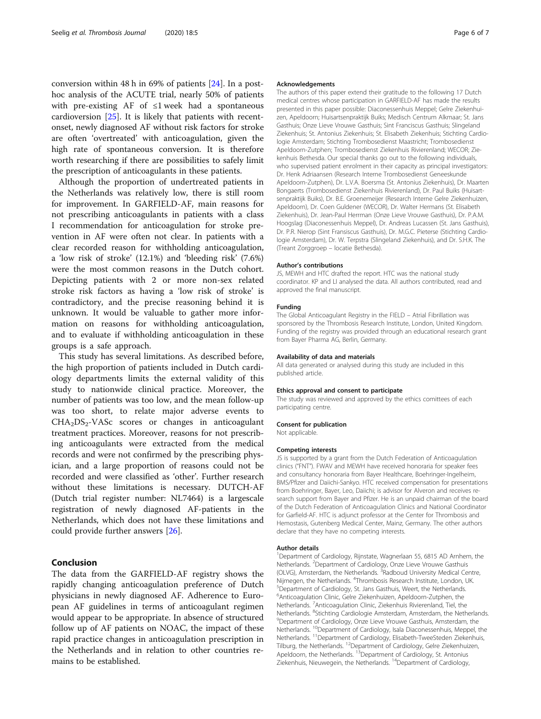conversion within 48 h in 69% of patients [[24](#page-6-0)]. In a posthoc analysis of the ACUTE trial, nearly 50% of patients with pre-existing AF of  $\leq 1$  week had a spontaneous cardioversion [[25](#page-6-0)]. It is likely that patients with recentonset, newly diagnosed AF without risk factors for stroke are often 'overtreated' with anticoagulation, given the high rate of spontaneous conversion. It is therefore worth researching if there are possibilities to safely limit the prescription of anticoagulants in these patients.

Although the proportion of undertreated patients in the Netherlands was relatively low, there is still room for improvement. In GARFIELD-AF, main reasons for not prescribing anticoagulants in patients with a class I recommendation for anticoagulation for stroke prevention in AF were often not clear. In patients with a clear recorded reason for withholding anticoagulation, a 'low risk of stroke' (12.1%) and 'bleeding risk' (7.6%) were the most common reasons in the Dutch cohort. Depicting patients with 2 or more non-sex related stroke risk factors as having a 'low risk of stroke' is contradictory, and the precise reasoning behind it is unknown. It would be valuable to gather more information on reasons for withholding anticoagulation, and to evaluate if withholding anticoagulation in these groups is a safe approach.

This study has several limitations. As described before, the high proportion of patients included in Dutch cardiology departments limits the external validity of this study to nationwide clinical practice. Moreover, the number of patients was too low, and the mean follow-up was too short, to relate major adverse events to  $CHA<sub>2</sub>DS<sub>2</sub>-VASc$  scores or changes in anticoagulant treatment practices. Moreover, reasons for not prescribing anticoagulants were extracted from the medical records and were not confirmed by the prescribing physician, and a large proportion of reasons could not be recorded and were classified as 'other'. Further research without these limitations is necessary. DUTCH-AF (Dutch trial register number: NL7464) is a largescale registration of newly diagnosed AF-patients in the Netherlands, which does not have these limitations and could provide further answers [[26](#page-6-0)].

## Conclusion

The data from the GARFIELD-AF registry shows the rapidly changing anticoagulation preference of Dutch physicians in newly diagnosed AF. Adherence to European AF guidelines in terms of anticoagulant regimen would appear to be appropriate. In absence of structured follow up of AF patients on NOAC, the impact of these rapid practice changes in anticoagulation prescription in the Netherlands and in relation to other countries remains to be established.

#### Acknowledgements

The authors of this paper extend their gratitude to the following 17 Dutch medical centres whose participation in GARFIELD-AF has made the results presented in this paper possible: Diaconessenhuis Meppel; Gelre Ziekenhuizen, Apeldoorn; Huisartsenpraktijk Buiks; Medisch Centrum Alkmaar; St. Jans Gasthuis; Onze Lieve Vrouwe Gasthuis; Sint Franciscus Gasthuis; Slingeland Ziekenhuis; St. Antonius Ziekenhuis; St. Elisabeth Ziekenhuis; Stichting Cardiologie Amsterdam; Stichting Trombosedienst Maastricht; Trombosedienst Apeldoorn-Zutphen; Trombosedienst Ziekenhuis Rivierenland; WECOR; Ziekenhuis Bethesda. Our special thanks go out to the following individuals, who supervised patient enrolment in their capacity as principal investigators: Dr. Henk Adriaansen (Research Interne Trombosedienst Geneeskunde Apeldoorn-Zutphen), Dr. L.V.A. Boersma (St. Antonius Ziekenhuis), Dr. Maarten Bongaerts (Trombosedienst Ziekenhuis Rivierenland), Dr. Paul Buiks (Huisartsenpraktijk Buiks), Dr. B.E. Groenemeijer (Research Interne Gelre Ziekenhuizen, Apeldoorn), Dr. Coen Guldener (WECOR), Dr. Walter Hermans (St. Elisabeth Ziekenhuis), Dr. Jean-Paul Herrman (Onze Lieve Vrouwe Gasthuis), Dr. P.A.M. Hoogslag (Diaconessenhuis Meppel), Dr. Andreas Lucassen (St. Jans Gasthuis), Dr. P.R. Nierop (Sint Fransiscus Gasthuis), Dr. M.G.C. Pieterse (Stichting Cardiologie Amsterdam), Dr. W. Terpstra (Slingeland Ziekenhuis), and Dr. S.H.K. The (Treant Zorggroep – locatie Bethesda).

#### Author's contributions

JS, MEWH and HTC drafted the report. HTC was the national study coordinator. KP and LI analysed the data. All authors contributed, read and approved the final manuscript.

#### Funding

The Global Anticoagulant Registry in the FIELD – Atrial Fibrillation was sponsored by the Thrombosis Research Institute, London, United Kingdom. Funding of the registry was provided through an educational research grant from Bayer Pharma AG, Berlin, Germany.

#### Availability of data and materials

All data generated or analysed during this study are included in this published article.

#### Ethics approval and consent to participate

The study was reviewed and approved by the ethics comittees of each participating centre.

#### Consent for publication

Not applicable.

#### Competing interests

JS is supported by a grant from the Dutch Federation of Anticoagulation clinics ("FNT"). FWAV and MEWH have received honoraria for speaker fees and consultancy honoraria from Bayer Healthcare, Boehringer-Ingelheim, BMS/Pfizer and Daiichi-Sankyo. HTC received compensation for presentations from Boehringer, Bayer, Leo, Daiichi; is advisor for Alveron and receives research support from Bayer and Pfizer. He is an unpaid chairman of the board of the Dutch Federation of Anticoagulation Clinics and National Coordinator for Garfield-AF. HTC is adjunct professor at the Center for Thrombosis and Hemostasis, Gutenberg Medical Center, Mainz, Germany. The other authors declare that they have no competing interests.

#### Author details

<sup>1</sup>Department of Cardiology, Rijnstate, Wagnerlaan 55, 6815 AD Arnhem, the Netherlands. <sup>2</sup>Department of Cardiology, Onze Lieve Vrouwe Gasthuis (OLVG), Amsterdam, the Netherlands. <sup>3</sup>Radboud University Medical Centre Nijmegen, the Netherlands. <sup>4</sup>Thrombosis Research Institute, London, UK.<br><sup>5</sup>Department of Cardiology, St. Japs Gasthuis, Went, the Netherlands Department of Cardiology, St. Jans Gasthuis, Weert, the Netherlands. 6 Anticoagulation Clinic, Gelre Ziekenhuizen, Apeldoorn-Zutphen, the Netherlands. <sup>7</sup> Anticoagulation Clinic, Ziekenhuis Rivierenland, Tiel, the Netherlands. <sup>8</sup>Stichting Cardiologie Amsterdam, Amsterdam, the Netherlands.<br><sup>9</sup>Department of Cardiology, Opze Lieve Vreuwe Garthuis, Amsterdam, the Department of Cardiology, Onze Lieve Vrouwe Gasthuis, Amsterdam, the Netherlands. <sup>10</sup>Department of Cardiology, Isala Diaconessenhuis, Meppel, the Netherlands. 11Department of Cardiology, Elisabeth-TweeSteden Ziekenhuis, Tilburg, the Netherlands. 12Department of Cardiology, Gelre Ziekenhuizen, Apeldoorn, the Netherlands. <sup>13</sup>Department of Cardiology, St. Antonius Ziekenhuis, Nieuwegein, the Netherlands. 14Department of Cardiology,